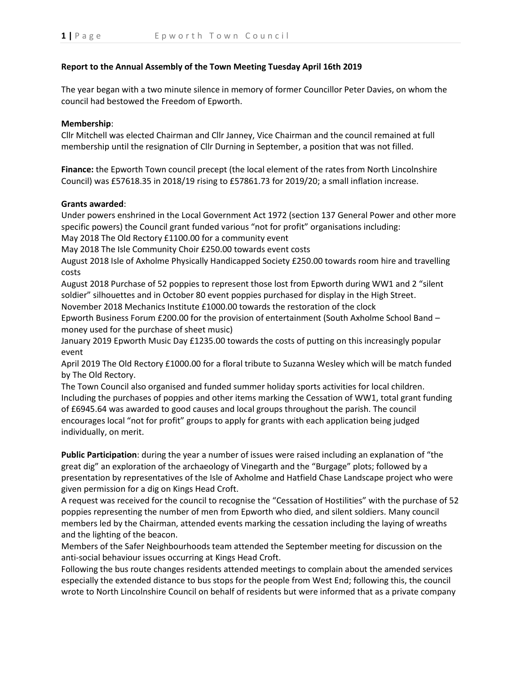## **Report to the Annual Assembly of the Town Meeting Tuesday April 16th 2019**

The year began with a two minute silence in memory of former Councillor Peter Davies, on whom the council had bestowed the Freedom of Epworth.

## **Membership**:

Cllr Mitchell was elected Chairman and Cllr Janney, Vice Chairman and the council remained at full membership until the resignation of Cllr Durning in September, a position that was not filled.

**Finance:** the Epworth Town council precept (the local element of the rates from North Lincolnshire Council) was £57618.35 in 2018/19 rising to £57861.73 for 2019/20; a small inflation increase.

## **Grants awarded**:

Under powers enshrined in the Local Government Act 1972 (section 137 General Power and other more specific powers) the Council grant funded various "not for profit" organisations including:

May 2018 The Old Rectory £1100.00 for a community event

May 2018 The Isle Community Choir £250.00 towards event costs

August 2018 Isle of Axholme Physically Handicapped Society £250.00 towards room hire and travelling costs

August 2018 Purchase of 52 poppies to represent those lost from Epworth during WW1 and 2 "silent soldier" silhouettes and in October 80 event poppies purchased for display in the High Street.

November 2018 Mechanics Institute £1000.00 towards the restoration of the clock

Epworth Business Forum £200.00 for the provision of entertainment (South Axholme School Band – money used for the purchase of sheet music)

January 2019 Epworth Music Day £1235.00 towards the costs of putting on this increasingly popular event

April 2019 The Old Rectory £1000.00 for a floral tribute to Suzanna Wesley which will be match funded by The Old Rectory.

The Town Council also organised and funded summer holiday sports activities for local children. Including the purchases of poppies and other items marking the Cessation of WW1, total grant funding of £6945.64 was awarded to good causes and local groups throughout the parish. The council encourages local "not for profit" groups to apply for grants with each application being judged individually, on merit.

**Public Participation**: during the year a number of issues were raised including an explanation of "the great dig" an exploration of the archaeology of Vinegarth and the "Burgage" plots; followed by a presentation by representatives of the Isle of Axholme and Hatfield Chase Landscape project who were given permission for a dig on Kings Head Croft.

A request was received for the council to recognise the "Cessation of Hostilities" with the purchase of 52 poppies representing the number of men from Epworth who died, and silent soldiers. Many council members led by the Chairman, attended events marking the cessation including the laying of wreaths and the lighting of the beacon.

Members of the Safer Neighbourhoods team attended the September meeting for discussion on the anti-social behaviour issues occurring at Kings Head Croft.

Following the bus route changes residents attended meetings to complain about the amended services especially the extended distance to bus stops for the people from West End; following this, the council wrote to North Lincolnshire Council on behalf of residents but were informed that as a private company